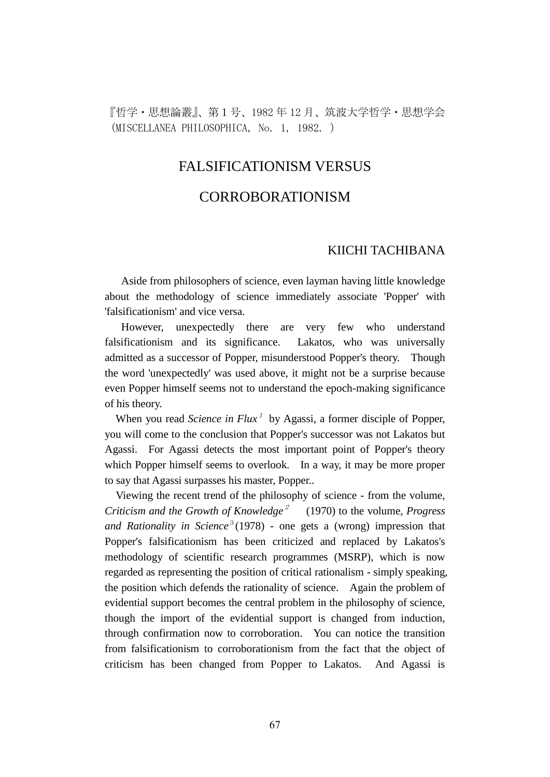『哲学・思想論叢』、第1号、1982 年 12 月、筑波大学哲学・思想学会 (MISCELLANEA PHILOSOPHICA, No. 1, 1982. )

## FALSIFICATIONISM VERSUS

## CORROBORATIONISM

### KIICHI TACHIBANA

 Aside from philosophers of science, even layman having little knowledge about the methodology of science immediately associate 'Popper' with 'falsificationism' and vice versa.

 However, unexpectedly there are very few who understand falsificationism and its significance. Lakatos, who was universally admitted as a successor of Popper, misunderstood Popper's theory. Though the word 'unexpectedly' was used above, it might not be a surprise because even Popper himself seems not to understand the epoch-making significance of his theory.

When you read *Science in Flux*<sup>1</sup> by Agassi, a former disciple of Popper, you will come to the conclusion that Popper's successor was not Lakatos but Agassi. For Agassi detects the most important point of Popper's theory which Popper himself seems to overlook. In a way, it may be more proper to say that Agassi surpasses his master, Popper..

 Viewing the recent trend of the philosophy of science - from the volume, *Criticism and the Growth of Knowledge<sup>2</sup>* (1970) to the volume, *Progress* and Rationality in Science<sup>3</sup> (1978) - one gets a (wrong) impression that Popper's falsificationism has been criticized and replaced by Lakatos's methodology of scientific research programmes (MSRP), which is now regarded as representing the position of critical rationalism - simply speaking, the position which defends the rationality of science. Again the problem of evidential support becomes the central problem in the philosophy of science, though the import of the evidential support is changed from induction, through confirmation now to corroboration. You can notice the transition from falsificationism to corroborationism from the fact that the object of criticism has been changed from Popper to Lakatos. And Agassi is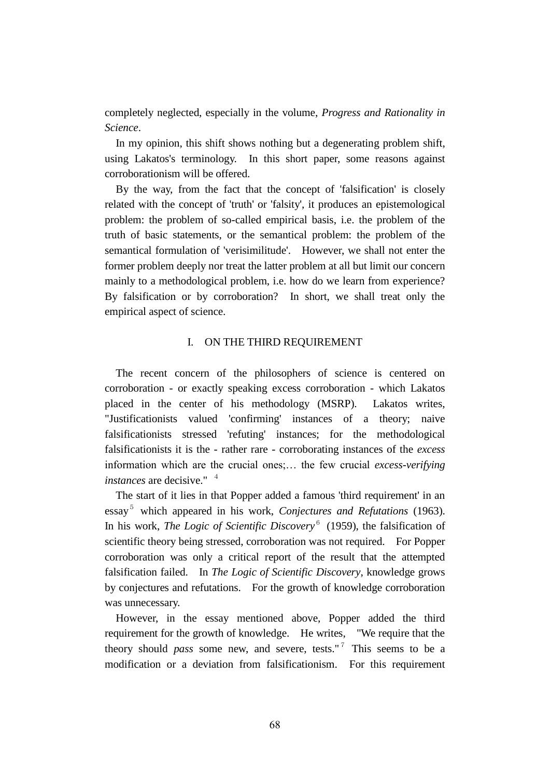completely neglected, especially in the volume, *Progress and Rationality in Science*.

 In my opinion, this shift shows nothing but a degenerating problem shift, using Lakatos's terminology. In this short paper, some reasons against corroborationism will be offered.

 By the way, from the fact that the concept of 'falsification' is closely related with the concept of 'truth' or 'falsity', it produces an epistemological problem: the problem of so-called empirical basis, i.e. the problem of the truth of basic statements, or the semantical problem: the problem of the semantical formulation of 'verisimilitude'. However, we shall not enter the former problem deeply nor treat the latter problem at all but limit our concern mainly to a methodological problem, i.e. how do we learn from experience? By falsification or by corroboration? In short, we shall treat only the empirical aspect of science.

#### I. ON THE THIRD REQUIREMENT

 The recent concern of the philosophers of science is centered on corroboration - or exactly speaking excess corroboration - which Lakatos placed in the center of his methodology (MSRP). Lakatos writes, "Justificationists valued 'confirming' instances of a theory; naive falsificationists stressed 'refuting' instances; for the methodological falsificationists it is the - rather rare - corroborating instances of the *excess* information which are the crucial ones;… the few crucial *excess-verifying instances* are decisive." <sup>4</sup>

 The start of it lies in that Popper added a famous 'third requirement' in an essay <sup>5</sup> which appeared in his work, *Conjectures and Refutations* (1963). In his work, *The Logic of Scientific Discovery*<sup>6</sup> (1959), the falsification of scientific theory being stressed, corroboration was not required. For Popper corroboration was only a critical report of the result that the attempted falsification failed. In *The Logic of Scientific Discovery*, knowledge grows by conjectures and refutations. For the growth of knowledge corroboration was unnecessary.

 However, in the essay mentioned above, Popper added the third requirement for the growth of knowledge. He writes, "We require that the theory should *pass* some new, and severe, tests."<sup>7</sup> This seems to be a modification or a deviation from falsificationism. For this requirement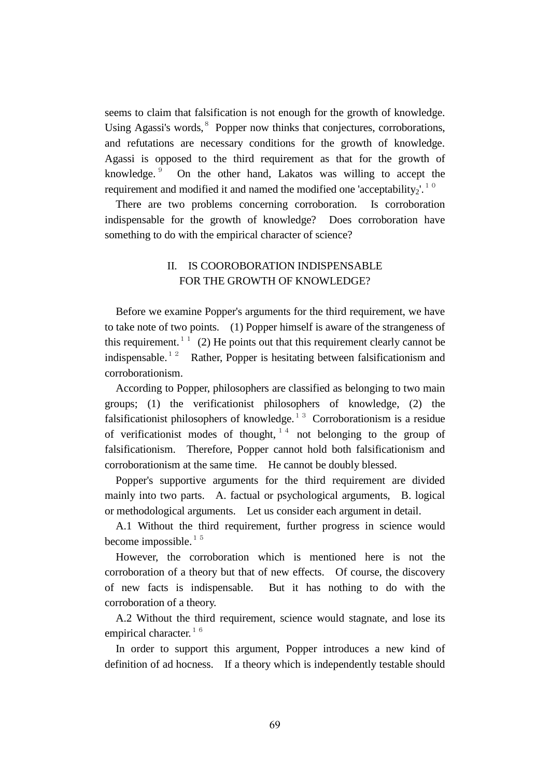seems to claim that falsification is not enough for the growth of knowledge. Using Agassi's words, <sup>8</sup> Popper now thinks that conjectures, corroborations, and refutations are necessary conditions for the growth of knowledge. Agassi is opposed to the third requirement as that for the growth of knowledge. 9 On the other hand, Lakatos was willing to accept the requirement and modified it and named the modified one 'acceptability,'.<sup>10</sup>

 There are two problems concerning corroboration. Is corroboration indispensable for the growth of knowledge? Does corroboration have something to do with the empirical character of science?

## II. IS COOROBORATION INDISPENSABLE FOR THE GROWTH OF KNOWLEDGE?

 Before we examine Popper's arguments for the third requirement, we have to take note of two points. (1) Popper himself is aware of the strangeness of this requirement.<sup>11</sup> (2) He points out that this requirement clearly cannot be indispensable.<sup>12</sup> Rather, Popper is hesitating between falsificationism and corroborationism.

 According to Popper, philosophers are classified as belonging to two main groups; (1) the verificationist philosophers of knowledge, (2) the falsificationist philosophers of knowledge.<sup>13</sup> Corroborationism is a residue of verificationist modes of thought,  $14$  not belonging to the group of falsificationism. Therefore, Popper cannot hold both falsificationism and corroborationism at the same time. He cannot be doubly blessed.

 Popper's supportive arguments for the third requirement are divided mainly into two parts. A. factual or psychological arguments, B. logical or methodological arguments. Let us consider each argument in detail.

 A.1 Without the third requirement, further progress in science would become impossible. $15$ 

 However, the corroboration which is mentioned here is not the corroboration of a theory but that of new effects. Of course, the discovery of new facts is indispensable. But it has nothing to do with the corroboration of a theory.

 A.2 Without the third requirement, science would stagnate, and lose its empirical character.<sup>16</sup>

 In order to support this argument, Popper introduces a new kind of definition of ad hocness. If a theory which is independently testable should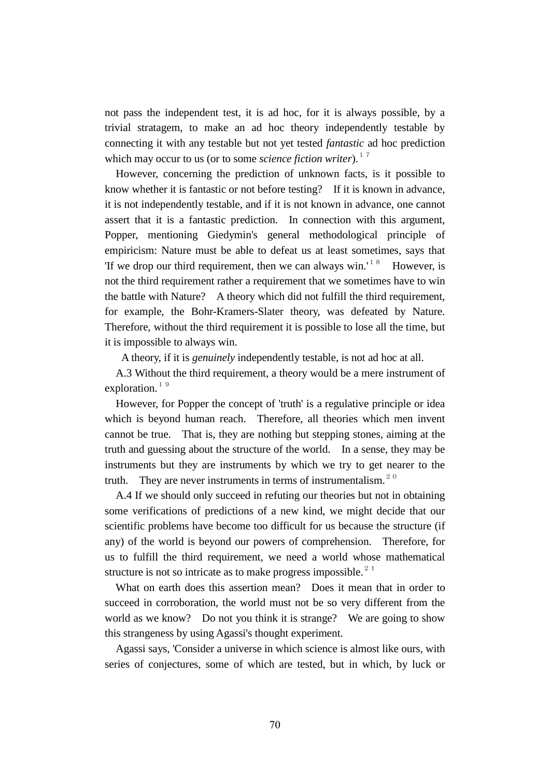not pass the independent test, it is ad hoc, for it is always possible, by a trivial stratagem, to make an ad hoc theory independently testable by connecting it with any testable but not yet tested *fantastic* ad hoc prediction which may occur to us (or to some *science fiction writer*).<sup>17</sup>

 However, concerning the prediction of unknown facts, is it possible to know whether it is fantastic or not before testing? If it is known in advance, it is not independently testable, and if it is not known in advance, one cannot assert that it is a fantastic prediction. In connection with this argument, Popper, mentioning Giedymin's general methodological principle of empiricism: Nature must be able to defeat us at least sometimes, says that If we drop our third requirement, then we can always win.<sup>'18</sup> However, is not the third requirement rather a requirement that we sometimes have to win the battle with Nature? A theory which did not fulfill the third requirement, for example, the Bohr-Kramers-Slater theory, was defeated by Nature. Therefore, without the third requirement it is possible to lose all the time, but it is impossible to always win.

A theory, if it is *genuinely* independently testable, is not ad hoc at all.

 A.3 Without the third requirement, a theory would be a mere instrument of exploration.<sup>19</sup>

 However, for Popper the concept of 'truth' is a regulative principle or idea which is beyond human reach. Therefore, all theories which men invent cannot be true. That is, they are nothing but stepping stones, aiming at the truth and guessing about the structure of the world. In a sense, they may be instruments but they are instruments by which we try to get nearer to the truth. They are never instruments in terms of instrumentalism.<sup>20</sup>

 A.4 If we should only succeed in refuting our theories but not in obtaining some verifications of predictions of a new kind, we might decide that our scientific problems have become too difficult for us because the structure (if any) of the world is beyond our powers of comprehension. Therefore, for us to fulfill the third requirement, we need a world whose mathematical structure is not so intricate as to make progress impossible. $2<sup>1</sup>$ 

What on earth does this assertion mean? Does it mean that in order to succeed in corroboration, the world must not be so very different from the world as we know? Do not you think it is strange? We are going to show this strangeness by using Agassi's thought experiment.

 Agassi says, 'Consider a universe in which science is almost like ours, with series of conjectures, some of which are tested, but in which, by luck or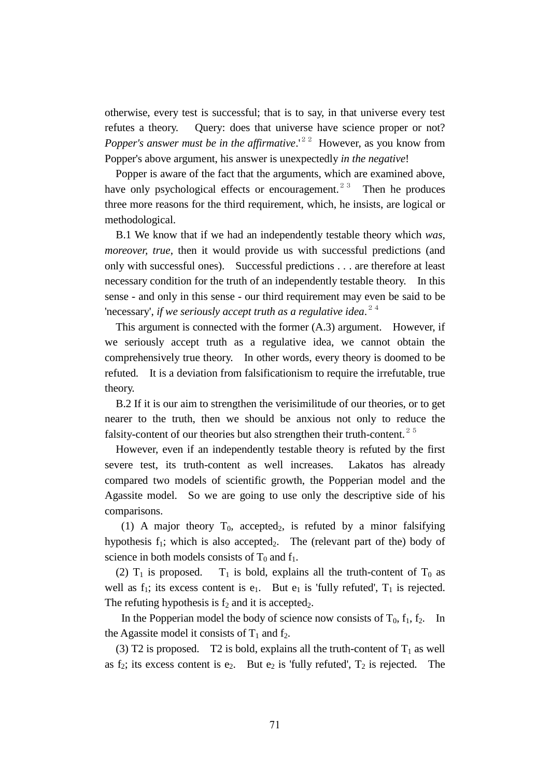otherwise, every test is successful; that is to say, in that universe every test refutes a theory. Query: does that universe have science proper or not? *Popper's answer must be in the affirmative.*<sup>'22</sup> However, as you know from Popper's above argument, his answer is unexpectedly *in the negative*!

 Popper is aware of the fact that the arguments, which are examined above, have only psychological effects or encouragement.<sup>23</sup> Then he produces three more reasons for the third requirement, which, he insists, are logical or methodological.

 B.1 We know that if we had an independently testable theory which *was, moreover, true*, then it would provide us with successful predictions (and only with successful ones). Successful predictions . . . are therefore at least necessary condition for the truth of an independently testable theory. In this sense - and only in this sense - our third requirement may even be said to be 'necessary', *if we seriously accept truth as a regulative idea.*<sup>24</sup>

 This argument is connected with the former (A.3) argument. However, if we seriously accept truth as a regulative idea, we cannot obtain the comprehensively true theory. In other words, every theory is doomed to be refuted. It is a deviation from falsificationism to require the irrefutable, true theory.

 B.2 If it is our aim to strengthen the verisimilitude of our theories, or to get nearer to the truth, then we should be anxious not only to reduce the falsity-content of our theories but also strengthen their truth-content.<sup>25</sup>

 However, even if an independently testable theory is refuted by the first severe test, its truth-content as well increases. Lakatos has already compared two models of scientific growth, the Popperian model and the Agassite model. So we are going to use only the descriptive side of his comparisons.

(1) A major theory  $T_0$ , accepted<sub>2</sub>, is refuted by a minor falsifying hypothesis  $f_1$ ; which is also accepted<sub>2</sub>. The (relevant part of the) body of science in both models consists of  $T_0$  and  $f_1$ .

(2)  $T_1$  is proposed.  $T_1$  is bold, explains all the truth-content of  $T_0$  as well as  $f_1$ ; its excess content is  $e_1$ . But  $e_1$  is 'fully refuted',  $T_1$  is rejected. The refuting hypothesis is  $f_2$  and it is accepted<sub>2</sub>.

In the Popperian model the body of science now consists of  $T_0$ ,  $f_1$ ,  $f_2$ . In the Agassite model it consists of  $T_1$  and  $f_2$ .

(3) T2 is proposed. T2 is bold, explains all the truth-content of  $T_1$  as well as  $f_2$ ; its excess content is  $e_2$ . But  $e_2$  is 'fully refuted',  $T_2$  is rejected. The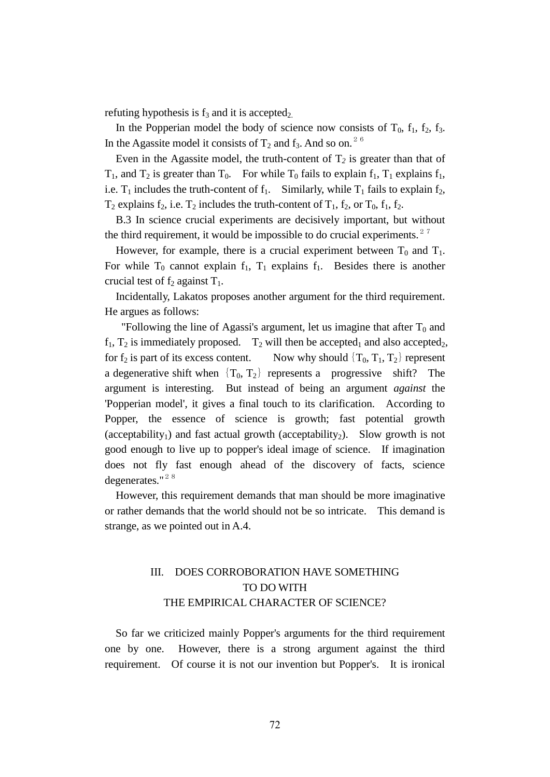refuting hypothesis is  $f_3$  and it is accepted<sub>2.</sub>

In the Popperian model the body of science now consists of  $T_0$ ,  $f_1$ ,  $f_2$ ,  $f_3$ . In the Agassite model it consists of  $T_2$  and  $f_3$ . And so on.<sup>26</sup>

Even in the Agassite model, the truth-content of  $T_2$  is greater than that of  $T_1$ , and  $T_2$  is greater than  $T_0$ . For while  $T_0$  fails to explain  $f_1$ ,  $T_1$  explains  $f_1$ , i.e.  $T_1$  includes the truth-content of  $f_1$ . Similarly, while  $T_1$  fails to explain  $f_2$ ,  $T_2$  explains  $f_2$ , i.e.  $T_2$  includes the truth-content of  $T_1$ ,  $f_2$ , or  $T_0$ ,  $f_1$ ,  $f_2$ .

 B.3 In science crucial experiments are decisively important, but without the third requirement, it would be impossible to do crucial experiments.<sup>27</sup>

However, for example, there is a crucial experiment between  $T_0$  and  $T_1$ . For while  $T_0$  cannot explain  $f_1$ ,  $T_1$  explains  $f_1$ . Besides there is another crucial test of  $f_2$  against  $T_1$ .

 Incidentally, Lakatos proposes another argument for the third requirement. He argues as follows:

"Following the line of Agassi's argument, let us imagine that after  $T_0$  and  $f_1$ ,  $T_2$  is immediately proposed.  $T_2$  will then be accepted<sub>1</sub> and also accepted<sub>2</sub>, for  $f_2$  is part of its excess content. Now why should  $\{T_0, T_1, T_2\}$  represent a degenerative shift when  ${T_0, T_2}$  represents a progressive shift? The argument is interesting. But instead of being an argument *against* the 'Popperian model', it gives a final touch to its clarification. According to Popper, the essence of science is growth; fast potential growth (acceptability<sub>1</sub>) and fast actual growth (acceptability<sub>2</sub>). Slow growth is not good enough to live up to popper's ideal image of science. If imagination does not fly fast enough ahead of the discovery of facts, science degenerates." $28$ 

 However, this requirement demands that man should be more imaginative or rather demands that the world should not be so intricate. This demand is strange, as we pointed out in A.4.

# III. DOES CORROBORATION HAVE SOMETHING TO DO WITH THE EMPIRICAL CHARACTER OF SCIENCE?

 So far we criticized mainly Popper's arguments for the third requirement one by one. However, there is a strong argument against the third requirement. Of course it is not our invention but Popper's. It is ironical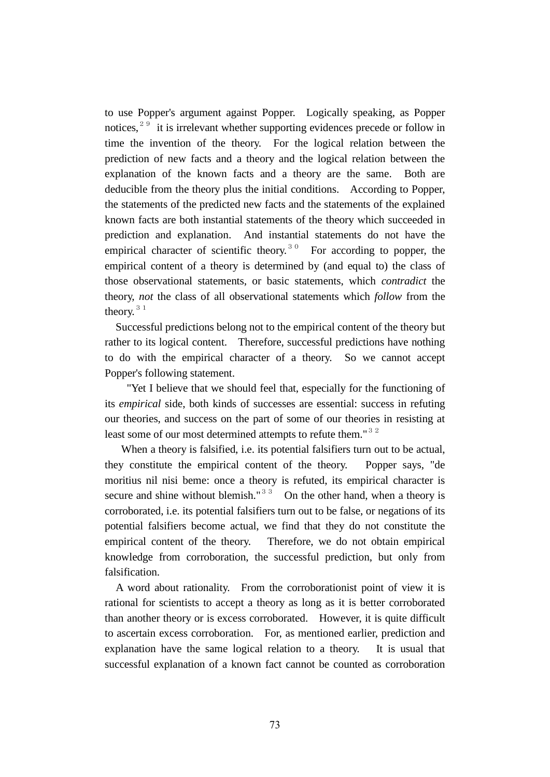to use Popper's argument against Popper. Logically speaking, as Popper notices,  $29$  it is irrelevant whether supporting evidences precede or follow in time the invention of the theory. For the logical relation between the prediction of new facts and a theory and the logical relation between the explanation of the known facts and a theory are the same. Both are deducible from the theory plus the initial conditions. According to Popper, the statements of the predicted new facts and the statements of the explained known facts are both instantial statements of the theory which succeeded in prediction and explanation. And instantial statements do not have the empirical character of scientific theory.<sup>30</sup> For according to popper, the empirical content of a theory is determined by (and equal to) the class of those observational statements, or basic statements, which *contradict* the theory, *not* the class of all observational statements which *follow* from the theory.<sup>31</sup>

 Successful predictions belong not to the empirical content of the theory but rather to its logical content. Therefore, successful predictions have nothing to do with the empirical character of a theory. So we cannot accept Popper's following statement.

 "Yet I believe that we should feel that, especially for the functioning of its *empirical* side, both kinds of successes are essential: success in refuting our theories, and success on the part of some of our theories in resisting at least some of our most determined attempts to refute them."<sup>32</sup>

When a theory is falsified, i.e. its potential falsifiers turn out to be actual, they constitute the empirical content of the theory. Popper says, "de moritius nil nisi beme: once a theory is refuted, its empirical character is secure and shine without blemish."<sup>33</sup> On the other hand, when a theory is corroborated, i.e. its potential falsifiers turn out to be false, or negations of its potential falsifiers become actual, we find that they do not constitute the empirical content of the theory. Therefore, we do not obtain empirical knowledge from corroboration, the successful prediction, but only from falsification.

 A word about rationality. From the corroborationist point of view it is rational for scientists to accept a theory as long as it is better corroborated than another theory or is excess corroborated. However, it is quite difficult to ascertain excess corroboration. For, as mentioned earlier, prediction and explanation have the same logical relation to a theory. It is usual that successful explanation of a known fact cannot be counted as corroboration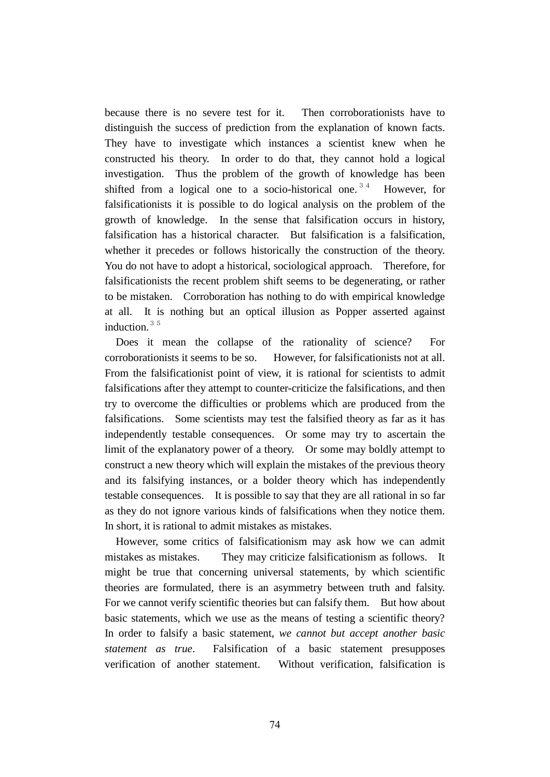because there is no severe test for it. Then corroborationists have to distinguish the success of prediction from the explanation of known facts. They have to investigate which instances a scientist knew when he constructed his theory. In order to do that, they cannot hold a logical investigation. Thus the problem of the growth of knowledge has been shifted from a logical one to a socio-historical one.<sup>34</sup> However, for falsificationists it is possible to do logical analysis on the problem of the growth of knowledge. In the sense that falsification occurs in history, falsification has a historical character. But falsification is a falsification, whether it precedes or follows historically the construction of the theory. You do not have to adopt a historical, sociological approach. Therefore, for falsificationists the recent problem shift seems to be degenerating, or rather to be mistaken. Corroboration has nothing to do with empirical knowledge at all. It is nothing but an optical illusion as Popper asserted against induction.<sup>35</sup>

 Does it mean the collapse of the rationality of science? For corroborationists it seems to be so. However, for falsificationists not at all. From the falsificationist point of view, it is rational for scientists to admit falsifications after they attempt to counter-criticize the falsifications, and then try to overcome the difficulties or problems which are produced from the falsifications. Some scientists may test the falsified theory as far as it has independently testable consequences. Or some may try to ascertain the limit of the explanatory power of a theory. Or some may boldly attempt to construct a new theory which will explain the mistakes of the previous theory and its falsifying instances, or a bolder theory which has independently testable consequences. It is possible to say that they are all rational in so far as they do not ignore various kinds of falsifications when they notice them. In short, it is rational to admit mistakes as mistakes.

 However, some critics of falsificationism may ask how we can admit mistakes as mistakes. They may criticize falsificationism as follows. It might be true that concerning universal statements, by which scientific theories are formulated, there is an asymmetry between truth and falsity. For we cannot verify scientific theories but can falsify them. But how about basic statements, which we use as the means of testing a scientific theory? In order to falsify a basic statement, *we cannot but accept another basic statement as true*. Falsification of a basic statement presupposes verification of another statement. Without verification, falsification is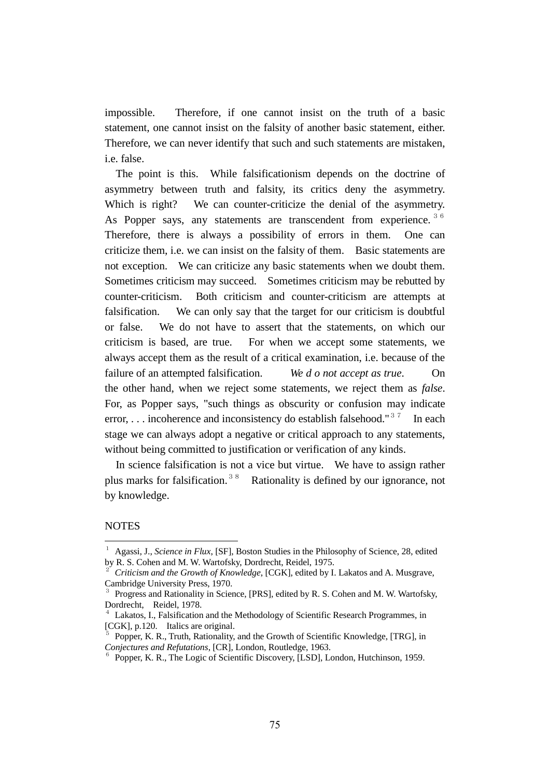impossible. Therefore, if one cannot insist on the truth of a basic statement, one cannot insist on the falsity of another basic statement, either. Therefore, we can never identify that such and such statements are mistaken, i.e. false.

 The point is this. While falsificationism depends on the doctrine of asymmetry between truth and falsity, its critics deny the asymmetry. Which is right? We can counter-criticize the denial of the asymmetry. As Popper says, any statements are transcendent from experience.<sup>36</sup> Therefore, there is always a possibility of errors in them. One can criticize them, i.e. we can insist on the falsity of them. Basic statements are not exception. We can criticize any basic statements when we doubt them. Sometimes criticism may succeed. Sometimes criticism may be rebutted by counter-criticism. Both criticism and counter-criticism are attempts at falsification. We can only say that the target for our criticism is doubtful or false. We do not have to assert that the statements, on which our criticism is based, are true. For when we accept some statements, we always accept them as the result of a critical examination, i.e. because of the failure of an attempted falsification. *We d o not accept as true*. On the other hand, when we reject some statements, we reject them as *false*. For, as Popper says, "such things as obscurity or confusion may indicate error, ... incoherence and inconsistency do establish falsehood."<sup>37</sup> In each stage we can always adopt a negative or critical approach to any statements, without being committed to justification or verification of any kinds.

 In science falsification is not a vice but virtue. We have to assign rather plus marks for falsification.<sup>38</sup> Rationality is defined by our ignorance, not by knowledge.

#### **NOTES**

 $\overline{a}$ 

<sup>1</sup> Agassi, J., *Science in Flux*, [SF], Boston Studies in the Philosophy of Science, 28, edited by R. S. Cohen and M. W. Wartofsky, Dordrecht, Reidel, 1975.

<sup>2</sup> *Criticism and the Growth of Knowledge*, [CGK], edited by I. Lakatos and A. Musgrave, Cambridge University Press, 1970.

<sup>3</sup> Progress and Rationality in Science, [PRS], edited by R. S. Cohen and M. W. Wartofsky, Dordrecht, Reidel, 1978.

 $4$  Lakatos, I., Falsification and the Methodology of Scientific Research Programmes, in [CGK], p.120. Italics are original.

<sup>5</sup> Popper, K. R., Truth, Rationality, and the Growth of Scientific Knowledge, [TRG], in *Conjectures and Refutations*, [CR], London, Routledge, 1963.

<sup>6</sup> Popper, K. R., The Logic of Scientific Discovery, [LSD], London, Hutchinson, 1959.